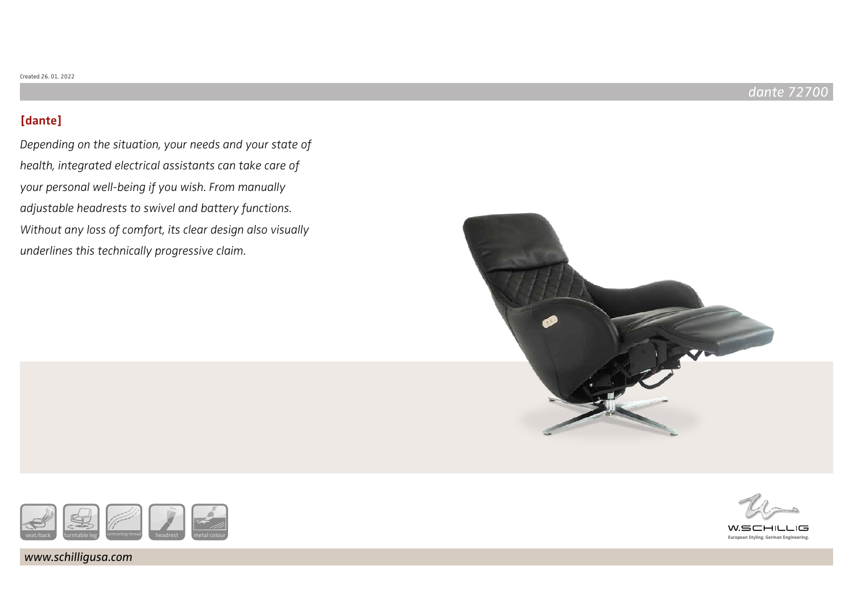# **[dante]**

Depending on the situation, your needs and your state of health, integrated electrical assistants can take care of your personal well-being if you wish. From manually adjustable headrests to swivel and battery functions. Without any loss of comfort, its clear design also visually underlines this technically progressive claim.





www.schilligusa.com



WSCHILL  $\overline{1}$ **European Styling. German Engineering.**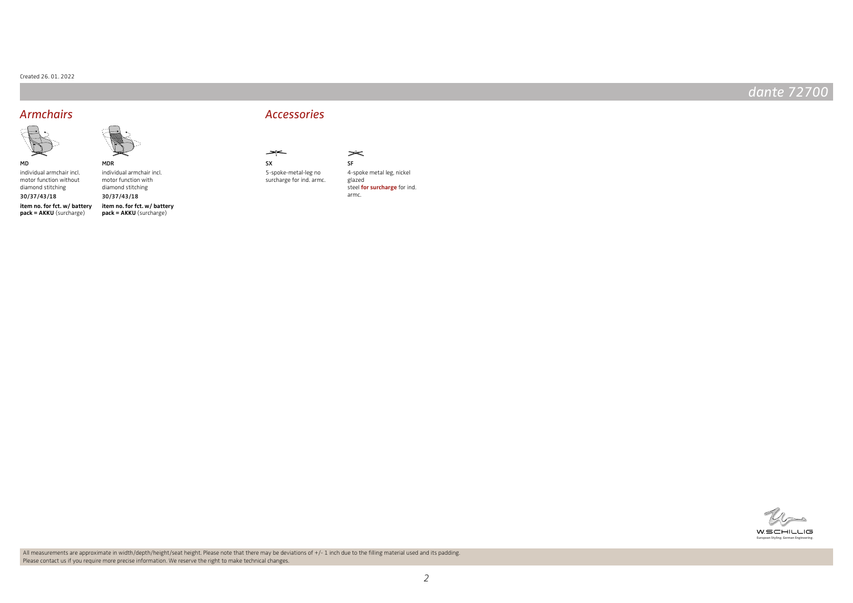### Created 26. 01. 2022

# dante 72700



MD individual armchair incl. motor function without

diamond stitching **item no. for fct. w/ battery pack = AKKU** (surcharge) 30/37/43/18

individual armchair incl. motor function with diamond stitching **item no. for fct. w/ battery**  30/37/43/18

MDR

**pack = AKKU** (surcharge)



surcharge for ind. armc.

**SX** 

 $\rightarrow$ 





 $\Rightarrow$ 

steel **for surcharge** for ind. armc.



**European Styling. German Engineering.**

All measurements are approximate in width/depth/height/seat height. Please note that there may be deviations of +/-1 inch due to the filling material used and its padding. Please contact us if you require more precise information. We reserve the right to make technical changes.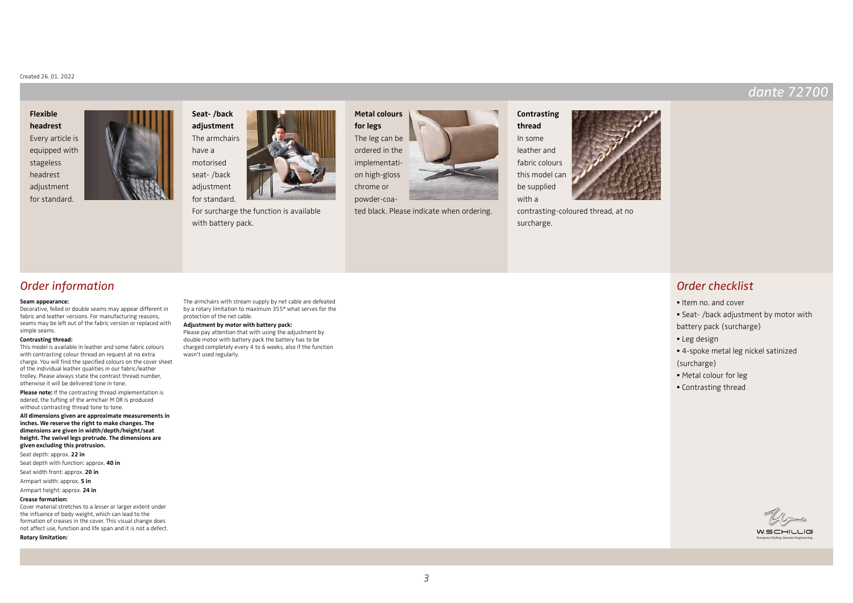### Created 26. 01. 2022

### **Flexible headrest**

Every article is equipped with stageless headrest adjustment for standard.





For surcharge the function is available with battery pack.

**Metal colours for legs** The leg can be ordered in the implementation high-gloss chrome or powder-coa-



**Contrasting thread** In some leather and fabric colours this model can be supplied with a



## Order checklist

- Item no. and cover
- Seat- /back adjustment by motor with battery pack (surcharge)

dante 72700

- Leg design
- 4-spoke metal leg nickel satinized (surcharge)
- Metal colour for leg
- Contrasting thread



### Order information

#### **Seam appearance:**

Decorative, felled or double seams may appear different in fabric and leather versions. For manufacturing reasons, seams may be left out of the fabric version or replaced with simple seams.

#### **Contrasting thread:**

This model is available in leather and some fabric colours with contrasting colour thread on request at no extra charge. You will find the specified colours on the cover sheet of the individual leather qualities in our fabric/leather trolley. Please always state the contrast thread number, otherwise it will be delivered tone in tone.

**Please note:** If the contrasting thread implementation is odered, the tufting of the armchair M DR is produced without contrasting thread tone to tone.

**All dimensions given are approximate measurements in inches. We reserve the right to make changes. The dimensions are given in width/depth/height/seat height. The swivel legs protrude. The dimensions are given excluding this protrusion.**

Seat depth: approx. **22 in**

Seat depth with function: approx. **40 in**

- Seat width front: approx. **20 in**
- Armpart width: approx. **5 in**

### Armpart height: approx. **24 in**

**Crease formation:**

Cover material stretches to a lesser or larger extent under the influence of body weight, which can lead to the formation of creases in the cover. This visual change does not affect use, function and life span and it is not a defect.

**Rotary limitation:**

The armchairs with stream supply by net cable are defeated by a rotary limitation to maximum 355° what serves for the protection of the net cable.

#### **Adjustment by motor with battery pack:**

Please pay attention that with using the adjustment by double motor with battery pack the battery has to be charged completely every 4 to 6 weeks, also if the function wasn't used regularly.